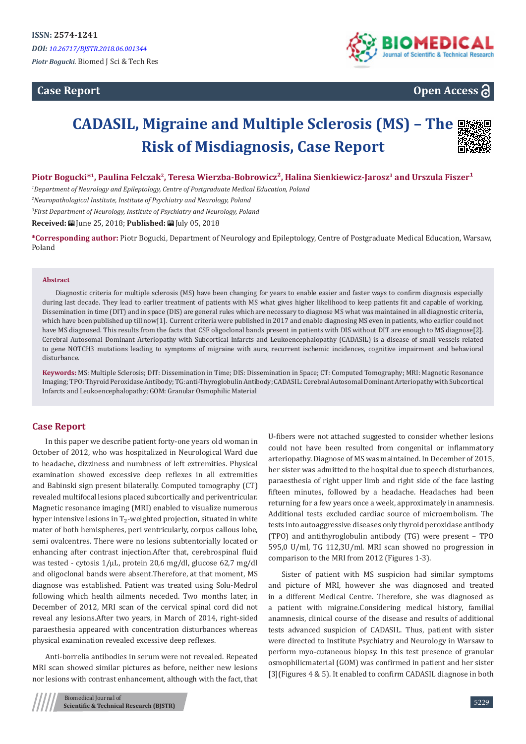# **Case Report**



**Open Access**

# **CADASIL, Migraine and Multiple Sclerosis (MS) – The Risk of Misdiagnosis, Case Report**



## Piotr Bogucki<sup>\*1</sup>, Paulina Felczak<sup>2</sup>, Teresa Wierzba-Bobrowicz<sup>2</sup>, Halina Sienkiewicz-Jarosz<sup>3</sup> and Urszula Fiszer<sup>1</sup>

*1 Department of Neurology and Epileptology, Centre of Postgraduate Medical Education, Poland* 

*2 Neuropathological Institute, Institute of Psychiatry and Neurology, Poland* 

*3 First Department of Neurology, Institute of Psychiatry and Neurology, Poland*

**Received:** June 25, 2018; **Published:** July 05, 2018

**\*Corresponding author:** Piotr Bogucki, Department of Neurology and Epileptology, Centre of Postgraduate Medical Education, Warsaw, Poland

#### **Abstract**

Diagnostic criteria for multiple sclerosis (MS) have been changing for years to enable easier and faster ways to confirm diagnosis especially during last decade. They lead to earlier treatment of patients with MS what gives higher likelihood to keep patients fit and capable of working. Dissemination in time (DIT) and in space (DIS) are general rules which are necessary to diagnose MS what was maintained in all diagnostic criteria, which have been published up till now[1]. Current criteria were published in 2017 and enable diagnosing MS even in patients, who earlier could not have MS diagnosed. This results from the facts that CSF oligoclonal bands present in patients with DIS without DIT are enough to MS diagnose[2]. Cerebral Autosomal Dominant Arteriopathy with Subcortical Infarcts and Leukoencephalopathy (CADASIL) is a disease of small vessels related to gene NOTCH3 mutations leading to symptoms of migraine with aura, recurrent ischemic incidences, cognitive impairment and behavioral disturbance.

**Keywords:** MS: Multiple Sclerosis; DIT: Dissemination in Time; DIS: Dissemination in Space; CT: Computed Tomography; MRI: Magnetic Resonance Imaging; TPO: Thyroid Peroxidase Antibody; TG: anti-Thyroglobulin Antibody; CADASIL: Cerebral Autosomal Dominant Arteriopathy with Subcortical Infarcts and Leukoencephalopathy; GOM: Granular Osmophilic Material

# **Case Report**

In this paper we describe patient forty-one years old woman in October of 2012, who was hospitalized in Neurological Ward due to headache, dizziness and numbness of left extremities. Physical examination showed excessive deep reflexes in all extremities and Babinski sign present bilaterally. Computed tomography (CT) revealed multifocal lesions placed subcortically and periventricular. Magnetic resonance imaging (MRI) enabled to visualize numerous hyper intensive lesions in  $T_2$ -weighted projection, situated in white mater of both hemispheres, peri ventricularly, corpus callous lobe, semi ovalcentres. There were no lesions subtentorially located or enhancing after contrast injection.After that, cerebrospinal fluid was tested - cytosis 1/µL, protein 20,6 mg/dl, glucose 62,7 mg/dl and oligoclonal bands were absent.Therefore, at that moment, MS diagnose was established. Patient was treated using Solu-Medrol following which health ailments neceded. Two months later, in December of 2012, MRI scan of the cervical spinal cord did not reveal any lesions.After two years, in March of 2014, right-sided paraesthesia appeared with concentration disturbances whereas physical examination revealed excessive deep reflexes.

Anti-borrelia antibodies in serum were not revealed. Repeated MRI scan showed similar pictures as before, neither new lesions nor lesions with contrast enhancement, although with the fact, that U-fibers were not attached suggested to consider whether lesions could not have been resulted from congenital or inflammatory arteriopathy. Diagnose of MS was maintained. In December of 2015, her sister was admitted to the hospital due to speech disturbances, paraesthesia of right upper limb and right side of the face lasting fifteen minutes, followed by a headache. Headaches had been returning for a few years once a week, approximately in anamnesis. Additional tests excluded cardiac source of microembolism. The tests into autoaggressive diseases only thyroid peroxidase antibody (TPO) and antithyroglobulin antibody (TG) were present – TPO 595,0 U/ml, TG 112,3U/ml. MRI scan showed no progression in comparison to the MRI from 2012 (Figures 1-3).

Sister of patient with MS suspicion had similar symptoms and picture of MRI, however she was diagnosed and treated in a different Medical Centre. Therefore, she was diagnosed as a patient with migraine.Considering medical history, familial anamnesis, clinical course of the disease and results of additional tests advanced suspicion of CADASIL. Thus, patient with sister were directed to Institute Psychiatry and Neurology in Warsaw to perform myo-cutaneous biopsy. In this test presence of granular osmophilicmaterial (GOM) was confirmed in patient and her sister [3](Figures 4 & 5). It enabled to confirm CADASIL diagnose in both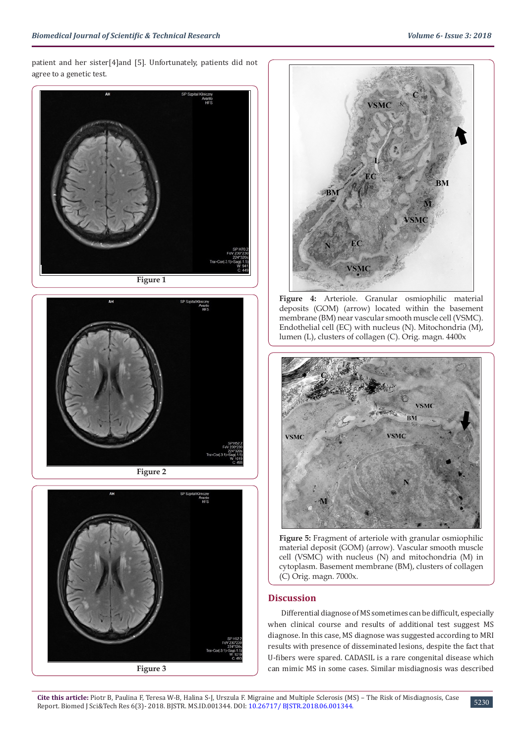patient and her sister[4]and [5]. Unfortunately, patients did not agree to a genetic test.





**Figure 2**





**Figure 4:** Arteriole. Granular osmiophilic material deposits (GOM) (arrow) located within the basement membrane (BM) near vascular smooth muscle cell (VSMC). Endothelial cell (EC) with nucleus (N). Mitochondria (M), lumen (L), clusters of collagen (C). Orig. magn. 4400x



**Figure 5:** Fragment of arteriole with granular osmiophilic material deposit (GOM) (arrow). Vascular smooth muscle cell (VSMC) with nucleus (N) and mitochondria (M) in cytoplasm. Basement membrane (BM), clusters of collagen (C) Orig. magn. 7000x.

# **Discussion**

Differential diagnose of MS sometimes can be difficult, especially when clinical course and results of additional test suggest MS diagnose. In this case, MS diagnose was suggested according to MRI results with presence of disseminated lesions, despite the fact that U-fibers were spared. CADASIL is a rare congenital disease which can mimic MS in some cases. Similar misdiagnosis was described